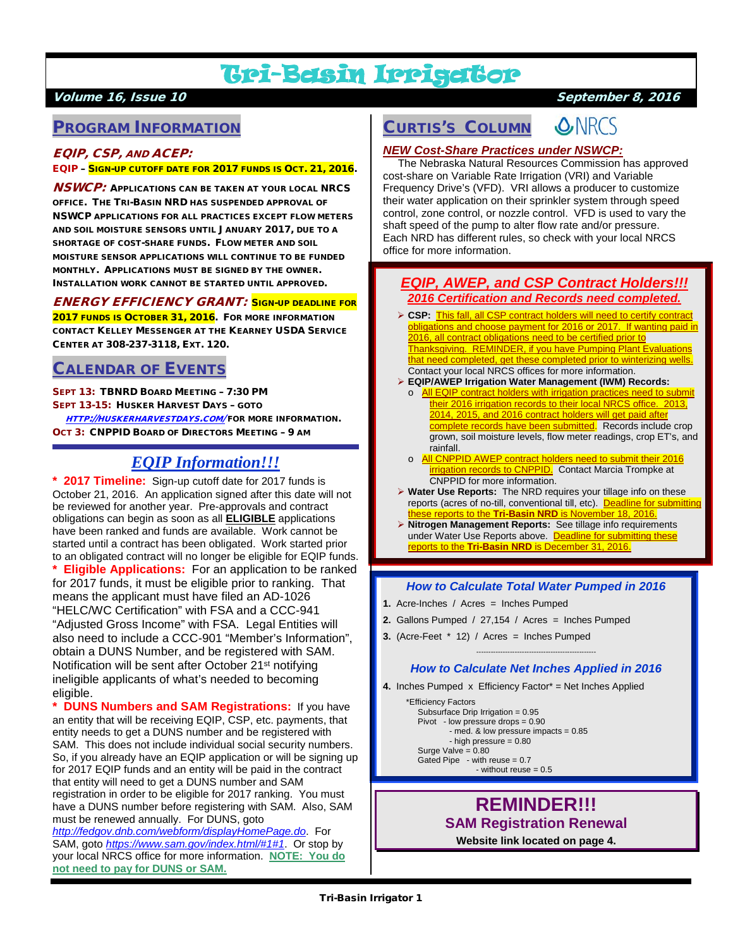# Tri-Basin Irrigator

### Volume 16, Issue 10 September 8, 2016

### PROGRAM INFORMATION

### EQIP, CSP, AND ACEP:

#### EQIP – SIGN-UP CUTOFF DATE FOR 2017 FUNDS IS OCT. 21, 2016.

**NSWCP:** APPLICATIONS CAN BE TAKEN AT YOUR LOCAL NRCS OFFICE. THE TRI-BASIN NRD HAS SUSPENDED APPROVAL OF NSWCP APPLICATIONS FOR ALL PRACTICES EXCEPT FLOW METERS AND SOIL MOISTURE SENSORS UNTIL JANUARY 2017, DUE TO A SHORTAGE OF COST-SHARE FUNDS. FLOW METER AND SOIL MOISTURE SENSOR APPLICATIONS WILL CONTINUE TO BE FUNDED MONTHLY. APPLICATIONS MUST BE SIGNED BY THE OWNER. INSTALLATION WORK CANNOT BE STARTED UNTIL APPROVED.

### ENERGY EFFICIENCY GRANT: SIGN-UP DEADLINE FOR

2017 FUNDS IS OCTOBER 31, 2016. FOR MORE INFORMATION CONTACT KELLEY MESSENGER AT THE KEARNEY USDA SERVICE CENTER AT 308-237-3118, EXT. 120.

### CALENDAR OF EVENTS

SEPT 13: TBNRD BOARD MEETING – 7:30 PM SEPT 13-15: HUSKER HARVEST DAYS – GOTO [HTTP://HUSKERHARVESTDAYS.COM/](http://huskerharvestdays.com/) FOR MORE INFORMATION. OCT 3: CNPPID BOARD OF DIRECTORS MEETING – 9 AM

### *EQIP Information!!!*

**\* 2017 Timeline:** Sign-up cutoff date for 2017 funds is October 21, 2016. An application signed after this date will not be reviewed for another year. Pre-approvals and contract obligations can begin as soon as all **ELIGIBLE** applications have been ranked and funds are available. Work cannot be started until a contract has been obligated. Work started prior to an obligated contract will no longer be eligible for EQIP funds. **Eligible Applications:** For an application to be ranked for 2017 funds, it must be eligible prior to ranking. That means the applicant must have filed an AD-1026 "HELC/WC Certification" with FSA and a CCC-941 "Adjusted Gross Income" with FSA. Legal Entities will also need to include a CCC-901 "Member's Information", obtain a DUNS Number, and be registered with SAM. Notification will be sent after October 21<sup>st</sup> notifying ineligible applicants of what's needed to becoming eligible.

**DUNS Numbers and SAM Registrations:** If you have an entity that will be receiving EQIP, CSP, etc. payments, that entity needs to get a DUNS number and be registered with SAM. This does not include individual social security numbers. So, if you already have an EQIP application or will be signing up for 2017 EQIP funds and an entity will be paid in the contract that entity will need to get a DUNS number and SAM registration in order to be eligible for 2017 ranking. You must have a DUNS number before registering with SAM. Also, SAM must be renewed annually. For DUNS, goto *<http://fedgov.dnb.com/webform/displayHomePage.do>*. For

SAM, goto *<https://www.sam.gov/index.html/#1#1>*. Or stop by your local NRCS office for more information. **NOTE: You do not need to pay for DUNS or SAM.**

### CURTIS'S COLUMN

**S.NRCS** 

*NEW Cost-Share Practices under NSWCP:*

 The Nebraska Natural Resources Commission has approved cost-share on Variable Rate Irrigation (VRI) and Variable Frequency Drive's (VFD). VRI allows a producer to customize their water application on their sprinkler system through speed control, zone control, or nozzle control. VFD is used to vary the shaft speed of the pump to alter flow rate and/or pressure. Each NRD has different rules, so check with your local NRCS office for more information.

### *EQIP, AWEP, and CSP Contract Holders!!! 2016 Certification and Records need completed.*

- **CSP:** This fall, all CSP contract holders will need to certify contract obligations and choose payment for 2016 or 2017. If wanting paid in 2016, all contract obligations need to be certified prior to Thanksgiving. REMINDER, if you have Pumping Plant Evaluations that need completed, get these completed prior to winterizing wells. Contact your local NRCS offices for more information.
- **EQIP/AWEP Irrigation Water Management (IWM) Records:**
	- o **All EQIP contract holders with irrigation practices need to submit** their 2016 irrigation records to their local NRCS office. 2013, 2014, 2015, and 2016 contract holders will get paid after complete records have been submitted. Records include crop grown, soil moisture levels, flow meter readings, crop ET's, and rainfall.
	- o All CNPPID AWEP contract holders need to submit their 2016 **irrigation records to CNPPID.** Contact Marcia Trompke at CNPPID for more information.
- **Water Use Reports:** The NRD requires your tillage info on these reports (acres of no-till, conventional till, etc). Deadline for submitting these reports to the **Tri-Basin NRD** is November 18, 2016.
- **Nitrogen Management Reports:** See tillage info requirements under Water Use Reports above. Deadline for submitting these reports to the **Tri-Basin NRD** is December 31, 2016.

#### *How to Calculate Total Water Pumped in 2016*

- **1.** Acre-Inches / Acres = Inches Pumped
- **2.** Gallons Pumped / 27,154 / Acres = Inches Pumped
- **3.** (Acre-Feet \* 12) / Acres = Inches Pumped

#### -------------------------------------------------- *How to Calculate Net Inches Applied in 2016*

**4.** Inches Pumped x Efficiency Factor\* = Net Inches Applied

```
 *Efficiency Factors
 Subsurface Drip Irrigation = 0.95
 Pivot - low pressure drops = 0.90
          - med. & low pressure impacts = 0.85
          - high pressure = 0.80
Surge Valve = 0.80 Gated Pipe - with reuse = 0.7
                 - without reuse = 0.5
```
### **REMINDER!!! SAM Registration Renewal**

**Website link located on page 4.**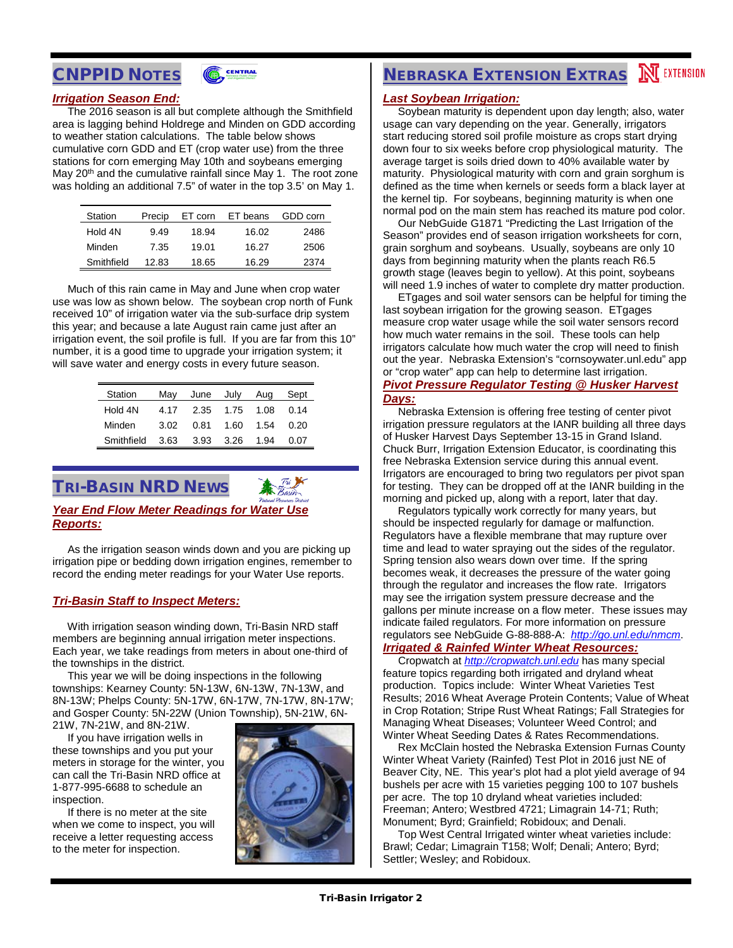



#### *Irrigation Season End:*

 The 2016 season is all but complete although the Smithfield area is lagging behind Holdrege and Minden on GDD according to weather station calculations. The table below shows cumulative corn GDD and ET (crop water use) from the three stations for corn emerging May 10th and soybeans emerging May  $20<sup>th</sup>$  and the cumulative rainfall since May 1. The root zone was holding an additional 7.5" of water in the top 3.5' on May 1.

| Station    | Precip | ET corn | ET beans | GDD corn |
|------------|--------|---------|----------|----------|
| Hold 4N    | 9.49   | 18.94   | 16.02    | 2486     |
| Minden     | 7.35   | 19.01   | 16.27    | 2506     |
| Smithfield | 12.83  | 18.65   | 16.29    | 2374     |

 Much of this rain came in May and June when crop water use was low as shown below. The soybean crop north of Funk received 10" of irrigation water via the sub-surface drip system this year; and because a late August rain came just after an irrigation event, the soil profile is full. If you are far from this 10" number, it is a good time to upgrade your irrigation system; it will save water and energy costs in every future season.

| Station    | May  |      | June July | Aug  | Sept |
|------------|------|------|-----------|------|------|
| Hold 4N    | 4.17 |      | 2.35 1.75 | 1.08 | 0.14 |
| Minden     | 3.02 | 0.81 | 1.60      | 1.54 | 0.20 |
| Smithfield | 3.63 | 3.93 | 3.26      | 1.94 | 0.07 |

TRI-BASIN NRD NEWS

### *Year End Flow Meter Readings for Water Use Reports:*

 As the irrigation season winds down and you are picking up irrigation pipe or bedding down irrigation engines, remember to record the ending meter readings for your Water Use reports.

#### *Tri-Basin Staff to Inspect Meters:*

 With irrigation season winding down, Tri-Basin NRD staff members are beginning annual irrigation meter inspections. Each year, we take readings from meters in about one-third of the townships in the district.

 This year we will be doing inspections in the following townships: Kearney County: 5N-13W, 6N-13W, 7N-13W, and 8N-13W; Phelps County: 5N-17W, 6N-17W, 7N-17W, 8N-17W; and Gosper County: 5N-22W (Union Township), 5N-21W, 6N-21W, 7N-21W, and 8N-21W.

 If you have irrigation wells in these townships and you put your meters in storage for the winter, you

can call the Tri-Basin NRD office at 1-877-995-6688 to schedule an inspection. If there is no meter at the site

when we come to inspect, you will receive a letter requesting access to the meter for inspection.



# **NEBRASKA EXTENSION EXTRAS NEXTENSION**

### *Last Soybean Irrigation:*

 Soybean maturity is dependent upon day length; also, water usage can vary depending on the year. Generally, irrigators start reducing stored soil profile moisture as crops start drying down four to six weeks before crop physiological maturity. The average target is soils dried down to 40% available water by maturity. Physiological maturity with corn and grain sorghum is defined as the time when kernels or seeds form a black layer at the kernel tip. For soybeans, beginning maturity is when one normal pod on the main stem has reached its mature pod color.

 Our NebGuide G1871 "Predicting the Last Irrigation of the Season" provides end of season irrigation worksheets for corn, grain sorghum and soybeans. Usually, soybeans are only 10 days from beginning maturity when the plants reach R6.5 growth stage (leaves begin to yellow). At this point, soybeans will need 1.9 inches of water to complete dry matter production.

 ETgages and soil water sensors can be helpful for timing the last soybean irrigation for the growing season. ETgages measure crop water usage while the soil water sensors record how much water remains in the soil. These tools can help irrigators calculate how much water the crop will need to finish out the year. Nebraska Extension's "cornsoywater.unl.edu" app or "crop water" app can help to determine last irrigation.

### *Pivot Pressure Regulator Testing @ Husker Harvest*

*Days:*

 Nebraska Extension is offering free testing of center pivot irrigation pressure regulators at the IANR building all three days of Husker Harvest Days September 13-15 in Grand Island. Chuck Burr, Irrigation Extension Educator, is coordinating this free Nebraska Extension service during this annual event. Irrigators are encouraged to bring two regulators per pivot span for testing. They can be dropped off at the IANR building in the morning and picked up, along with a report, later that day.

 Regulators typically work correctly for many years, but should be inspected regularly for damage or malfunction. Regulators have a flexible membrane that may rupture over time and lead to water spraying out the sides of the regulator. Spring tension also wears down over time. If the spring becomes weak, it decreases the pressure of the water going through the regulator and increases the flow rate. Irrigators may see the irrigation system pressure decrease and the gallons per minute increase on a flow meter. These issues may indicate failed regulators. For more information on pressure regulators see NebGuide G-88-888-A: *<http://go.unl.edu/nmcm>*.

### *Irrigated & Rainfed Winter Wheat Resources:*

 Cropwatch at *[http://cropwatch.unl.edu](http://cropwatch.unl.edu/)* has many special feature topics regarding both irrigated and dryland wheat production. Topics include: Winter Wheat Varieties Test Results; 2016 Wheat Average Protein Contents; Value of Wheat in Crop Rotation; Stripe Rust Wheat Ratings; Fall Strategies for Managing Wheat Diseases; Volunteer Weed Control; and Winter Wheat Seeding Dates & Rates Recommendations.

 Rex McClain hosted the Nebraska Extension Furnas County Winter Wheat Variety (Rainfed) Test Plot in 2016 just NE of Beaver City, NE. This year's plot had a plot yield average of 94 bushels per acre with 15 varieties pegging 100 to 107 bushels per acre. The top 10 dryland wheat varieties included: Freeman; Antero; Westbred 4721; Limagrain 14-71; Ruth; Monument; Byrd; Grainfield; Robidoux; and Denali.

 Top West Central Irrigated winter wheat varieties include: Brawl; Cedar; Limagrain T158; Wolf; Denali; Antero; Byrd; Settler; Wesley; and Robidoux.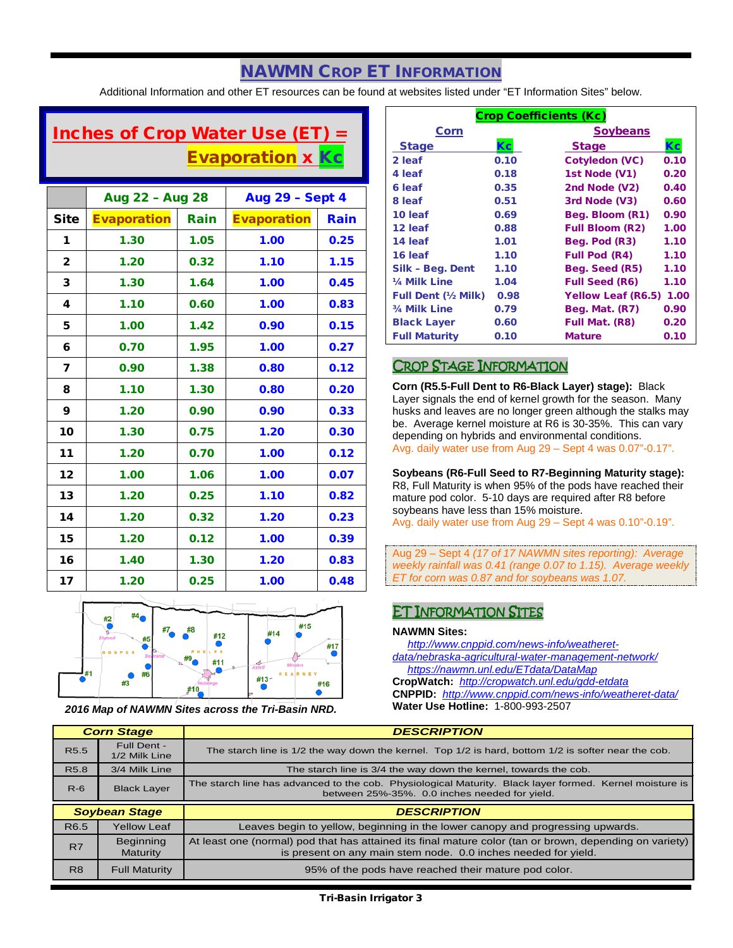### NAWMN CROP ET INFORMATION

Additional Information and other ET resources can be found at websites listed under "ET Information Sites" below.

## Inches of Crop Water Use (ET)  $=$ Evaporation x Kc

|                | Aug 22 - Aug 28    |      | <b>Aug 29 - Sept 4</b> |      |
|----------------|--------------------|------|------------------------|------|
| <b>Site</b>    | <b>Evaporation</b> | Rain | <b>Evaporation</b>     | Rain |
| 1              | 1.30               | 1.05 | 1.00                   | 0.25 |
| $\overline{2}$ | 1.20               | 0.32 | 1.10                   | 1.15 |
| 3              | 1.30               | 1.64 | 1.00                   | 0.45 |
| 4              | 1.10               | 0.60 | 1.00                   | 0.83 |
| 5              | 1.00               | 1.42 | 0.90                   | 0.15 |
| 6              | 0.70               | 1.95 | 1.00                   | 0.27 |
| 7              | 0.90               | 1.38 | 0.80                   | 0.12 |
| 8              | 1.10               | 1.30 | 0.80                   | 0.20 |
| 9              | 1.20               | 0.90 | 0.90                   | 0.33 |
| 10             | 1.30               | 0.75 | 1.20                   | 0.30 |
| 11             | 1.20               | 0.70 | 1.00                   | 0.12 |
| 12             | 1.00               | 1.06 | 1.00                   | 0.07 |
| 13             | 1.20               | 0.25 | 1.10                   | 0.82 |
| 14             | 1.20               | 0.32 | 1.20                   | 0.23 |
| 15             | 1.20               | 0.12 | 1.00                   | 0.39 |
| 16             | 1.40               | 1.30 | 1.20                   | 0.83 |
| 17             | 1.20               | 0.25 | 1.00                   | 0.48 |



*2016 Map of NAWMN Sites across the Tri-Basin NRD.*

| <b>Crop Coefficients (Kc)</b> |      |                           |      |  |
|-------------------------------|------|---------------------------|------|--|
| Corn                          |      | <b>Soybeans</b>           |      |  |
| <b>Stage</b>                  | Кc   | <b>Stage</b>              |      |  |
| 2 leaf                        | 0.10 | Cotyledon (VC)            | 0.10 |  |
| 4 leaf                        | 0.18 | 1st Node (V1)             | 0.20 |  |
| 6 leaf                        | 0.35 | 2nd Node (V2)             | 0.40 |  |
| 8 leaf                        | 0.51 | 3rd Node (V3)             | 0.60 |  |
| 10 leaf                       | 0.69 | Beg. Bloom (R1)           | 0.90 |  |
| 12 leaf                       | 0.88 | <b>Full Bloom (R2)</b>    | 1.00 |  |
| 14 leaf                       | 1.01 | Beg. Pod (R3)             | 1.10 |  |
| 16 leaf                       | 1.10 | <b>Full Pod (R4)</b>      | 1.10 |  |
| Silk - Beg. Dent              | 1.10 | Beg. Seed (R5)            | 1.10 |  |
| 1/ <sub>4</sub> Milk Line     | 1.04 | <b>Full Seed (R6)</b>     | 1.10 |  |
| Full Dent (1/2 Milk)          | 0.98 | <b>Yellow Leaf (R6.5)</b> | 1.00 |  |
| 3/4 Milk Line                 | 0.79 | Beg. Mat. (R7)            | 0.90 |  |
| <b>Black Layer</b>            | 0.60 | Full Mat. (R8)            | 0.20 |  |
| <b>Full Maturity</b>          | 0.10 | <b>Mature</b>             | 0.10 |  |

### CROP STAGE INFORMATION

**Corn (R5.5-Full Dent to R6-Black Layer) stage):** Black Layer signals the end of kernel growth for the season. Many husks and leaves are no longer green although the stalks may be. Average kernel moisture at R6 is 30-35%. This can vary depending on hybrids and environmental conditions. Avg. daily water use from Aug 29 – Sept 4 was 0.07"-0.17".

**Soybeans (R6-Full Seed to R7-Beginning Maturity stage):** R8, Full Maturity is when 95% of the pods have reached their mature pod color. 5-10 days are required after R8 before soybeans have less than 15% moisture. Avg. daily water use from Aug 29 – Sept 4 was 0.10"-0.19".

Aug 29 – Sept 4 *(17 of 17 NAWMN sites reporting): Average weekly rainfall was 0.41 (range 0.07 to 1.15). Average weekly ET for corn was 0.87 and for soybeans was 1.07.*

### ET INFORMATION SITES

#### **NAWMN Sites:**

 *[http://www.cnppid.com/news-info/weatheret](http://www.cnppid.com/news-info/weatheret-data/nebraska-agricultural-water-management-network/)[data/nebraska-agricultural-water-management-network/](http://www.cnppid.com/news-info/weatheret-data/nebraska-agricultural-water-management-network/) <https://nawmn.unl.edu/ETdata/DataMap>*

**CropWatch:** *<http://cropwatch.unl.edu/gdd-etdata>* **CNPPID:** *<http://www.cnppid.com/news-info/weatheret-data/>* **Water Use Hotline:** 1-800-993-2507

|                  | <b>Corn Stage</b>            | <b>DESCRIPTION</b>                                                                                                                                                        |  |
|------------------|------------------------------|---------------------------------------------------------------------------------------------------------------------------------------------------------------------------|--|
| R <sub>5.5</sub> | Full Dent -<br>1/2 Milk Line | The starch line is $1/2$ the way down the kernel. Top $1/2$ is hard, bottom $1/2$ is softer near the cob.                                                                 |  |
| R <sub>5.8</sub> | 3/4 Milk Line                | The starch line is 3/4 the way down the kernel, towards the cob.                                                                                                          |  |
| $R-6$            | <b>Black Layer</b>           | The starch line has advanced to the cob. Physiological Maturity. Black layer formed. Kernel moisture is<br>between 25%-35%. 0.0 inches needed for yield.                  |  |
|                  |                              |                                                                                                                                                                           |  |
|                  | <b>Soybean Stage</b>         | <b>DESCRIPTION</b>                                                                                                                                                        |  |
| R <sub>6.5</sub> | <b>Yellow Leaf</b>           | Leaves begin to yellow, beginning in the lower canopy and progressing upwards.                                                                                            |  |
| R7               | <b>Beginning</b><br>Maturity | At least one (normal) pod that has attained its final mature color (tan or brown, depending on variety)<br>is present on any main stem node. 0.0 inches needed for yield. |  |